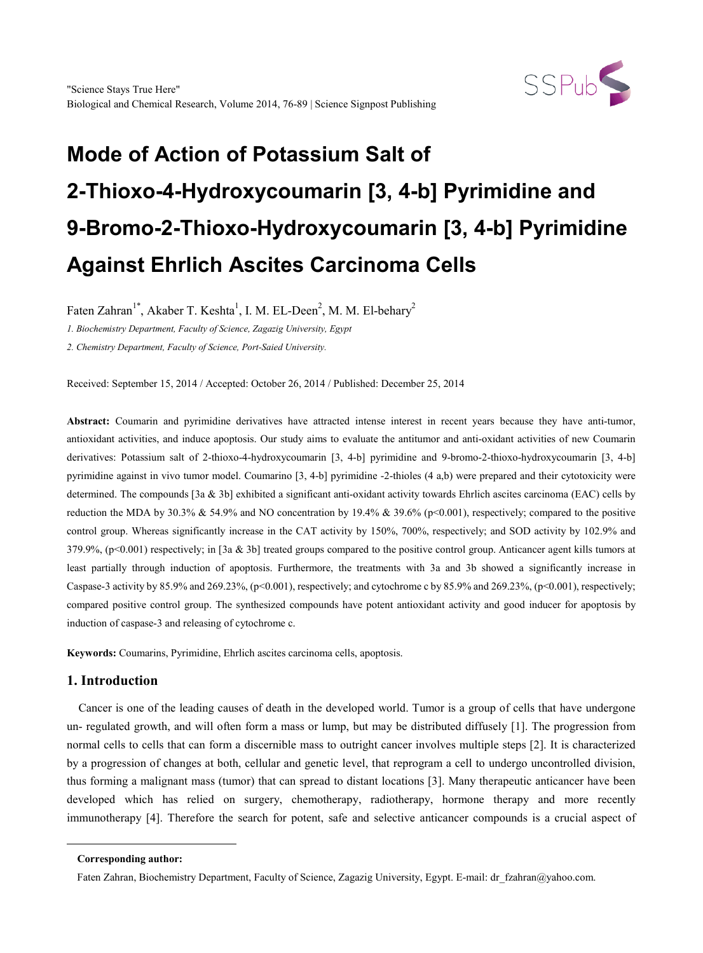

Faten Zahran<sup>1\*</sup>, Akaber T. Keshta<sup>1</sup>, I. M. EL-Deen<sup>2</sup>, M. M. El-behary<sup>2</sup>

*1. Biochemistry Department, Faculty of Science, Zagazig University, Egypt*

*2. Chemistry Department, Faculty of Science, Port-Saied University.*

Received: September 15, 2014 / Accepted: October 26, 2014 / Published: December 25, 2014

**Abstract:** Coumarin and pyrimidine derivatives have attracted intense interest in recent years because they have anti-tumor, antioxidant activities, and induce apoptosis. Our study aims to evaluate the antitumor and anti-oxidant activities of new Coumarin derivatives: Potassium salt of 2-thioxo-4-hydroxycoumarin [3, 4-b] pyrimidine and 9-bromo-2-thioxo-hydroxycoumarin [3, 4-b] pyrimidine against in vivo tumor model. Coumarino [3, 4-b] pyrimidine -2-thioles (4 a,b) were prepared and their cytotoxicity were determined. The compounds [3a & 3b] exhibited a significant anti-oxidant activity towards Ehrlich ascites carcinoma (EAC) cells by reduction the MDA by 30.3% & 54.9% and NO concentration by 19.4% & 39.6% (p<0.001), respectively; compared to the positive control group. Whereas significantly increase in the CAT activity by 150%, 700%, respectively; and SOD activity by 102.9% and  $379.9\%$ , (p<0.001) respectively; in [3a & 3b] treated groups compared to the positive control group. Anticancer agent kills tumors at least partially through induction of apoptosis. Furthermore, the treatments with 3a and 3b showed a significantly increase in Caspase-3 activity by 85.9% and 269.23%, (p<0.001), respectively; and cytochrome c by 85.9% and 269.23%, (p<0.001), respectively; compared positive control group. The synthesized compounds have potent antioxidant activity and good inducer for apoptosis by induction of caspase-3 and releasing of cytochrome c.

**Keywords:** Coumarins, Pyrimidine, Ehrlich ascites carcinoma cells, apoptosis.

# **1. Introduction**

Cancer is one of the leading causes of death in the developed world. Tumor is a group of cells that have undergone un- regulated growth, and will often form a mass or lump, but may be distributed diffusely [1]. The progression from normal cells to cells that can form a discernible mass to outright cancer involves multiple steps [2]. It is characterized by a progression of changes at both, cellular and genetic level, that reprogram a cell to undergo uncontrolled division, thus forming a malignant mass (tumor) that can spread to distant locations [3]. Many therapeutic anticancer have been developed which has relied on surgery, chemotherapy, radiotherapy, hormone therapy and more recently immunotherapy [4]. Therefore the search for potent, safe and selective anticancer compounds is a crucial aspect of

<span id="page-0-0"></span>-

**Corresponding author:**

Faten Zahran, Biochemistry Department, Faculty of Science, Zagazig University, Egypt. E-mail: dr\_fzahran@yahoo.com.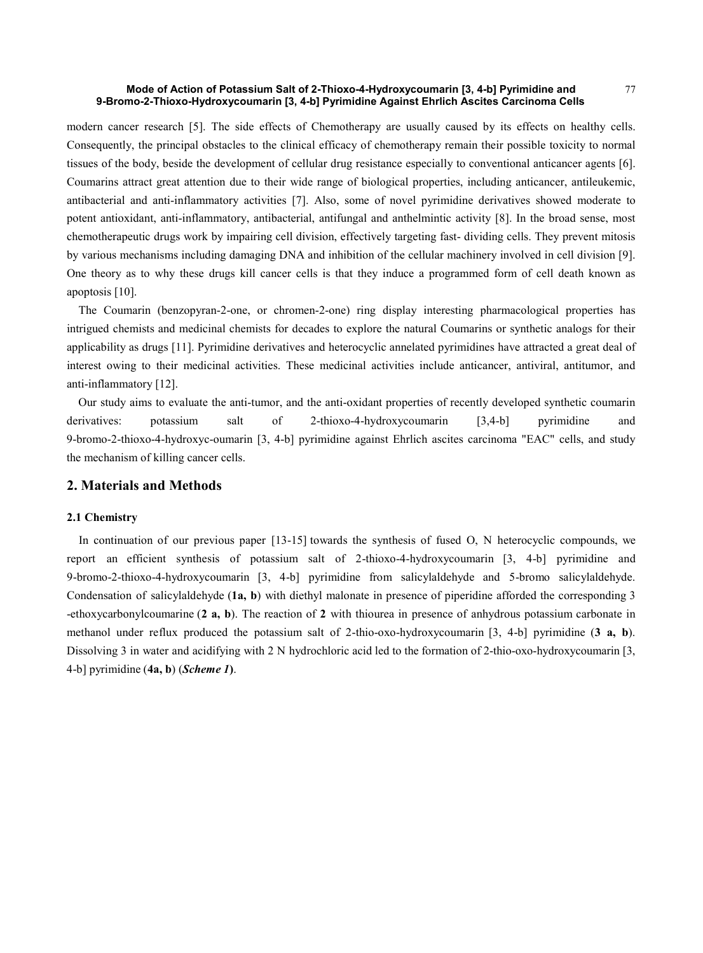modern cancer research [5]. The side effects of Chemotherapy are usually caused by its effects on healthy cells. Consequently, the principal obstacles to the clinical efficacy of chemotherapy remain their possible toxicity to normal tissues of the body, beside the development of cellular drug resistance especially to conventional anticancer agents [6]. Coumarins attract great attention due to their wide range of biological properties, including anticancer, antileukemic, antibacterial and anti-inflammatory activities [7]. Also, some of novel pyrimidine derivatives showed moderate to potent antioxidant, anti-inflammatory, antibacterial, antifungal and anthelmintic activity [8]. In the broad sense, most chemotherapeutic drugs work by impairing cell division, effectively targeting fast- dividing cells. They prevent mitosis by various mechanisms including damaging DNA and inhibition of the cellular machinery involved in cell division [9]. One theory as to why these drugs kill cancer cells is that they induce a programmed form of cell death known as apoptosis [10].

The Coumarin (benzopyran-2-one, or chromen-2-one) ring display interesting pharmacological properties has intrigued chemists and medicinal chemists for decades to explore the natural Coumarins or synthetic analogs for their applicability as drugs [11]. Pyrimidine derivatives and heterocyclic annelated pyrimidines have attracted a great deal of interest owing to their medicinal activities. These medicinal activities include anticancer, antiviral, antitumor, and anti-inflammatory [12].

Our study aims to evaluate the anti-tumor, and the anti-oxidant properties of recently developed synthetic coumarin derivatives: potassium salt of 2-thioxo-4-hydroxycoumarin [3,4-b] pyrimidine and 9-bromo-2-thioxo-4-hydroxyc-oumarin [3, 4-b] pyrimidine against Ehrlich ascites carcinoma "EAC" cells, and study the mechanism of killing cancer cells.

# **2. Materials and Methods**

# **2.1 Chemistry**

In continuation of our previous paper [13-15] towards the synthesis of fused O, N heterocyclic compounds, we report an efficient synthesis of potassium salt of 2-thioxo-4-hydroxycoumarin [3, 4-b] pyrimidine and 9-bromo-2-thioxo-4-hydroxycoumarin [3, 4-b] pyrimidine from salicylaldehyde and 5-bromo salicylaldehyde. Condensation of salicylaldehyde (**1a, b**) with diethyl malonate in presence of piperidine afforded the corresponding 3 -ethoxycarbonylcoumarine (**2 a, b**). The reaction of **2** with thiourea in presence of anhydrous potassium carbonate in methanol under reflux produced the potassium salt of 2-thio-oxo-hydroxycoumarin [3, 4-b] pyrimidine (**3 a, b**). Dissolving 3 in water and acidifying with 2 N hydrochloric acid led to the formation of 2-thio-oxo-hydroxycoumarin [3, 4-b] pyrimidine (**4a, b**) (*Scheme 1***)**.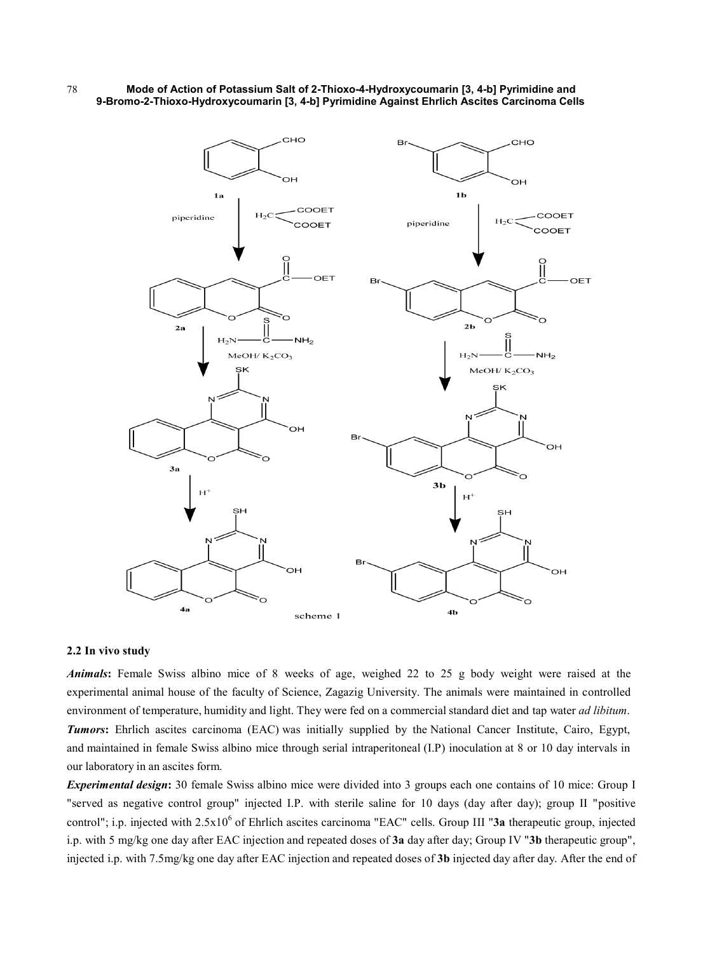

## **2.2 In vivo study**

*Animals***:** Female Swiss albino mice of 8 weeks of age, weighed 22 to 25 g body weight were raised at the experimental animal house of the faculty of Science, Zagazig University. The animals were maintained in controlled environment of temperature, humidity and light. They were fed on a commercial standard diet and tap water *ad libitum*. *Tumors***:** Ehrlich ascites carcinoma (EAC) was initially supplied by the National Cancer Institute, Cairo, Egypt, and maintained in female Swiss albino mice through serial intraperitoneal (I.P) inoculation at 8 or 10 day intervals in our laboratory in an ascites form.

*Experimental design***:** 30 female Swiss albino mice were divided into 3 groups each one contains of 10 mice: Group I "served as negative control group" injected I.P. with sterile saline for 10 days (day after day); group II "positive control"; i.p. injected with 2.5x10<sup>6</sup> of Ehrlich ascites carcinoma "EAC" cells. Group III "3a therapeutic group, injected i.p. with 5 mg/kg one day after EAC injection and repeated doses of **3a** day after day; Group IV "**3b** therapeutic group", injected i.p. with 7.5mg/kg one day after EAC injection and repeated doses of **3b** injected day after day. After the end of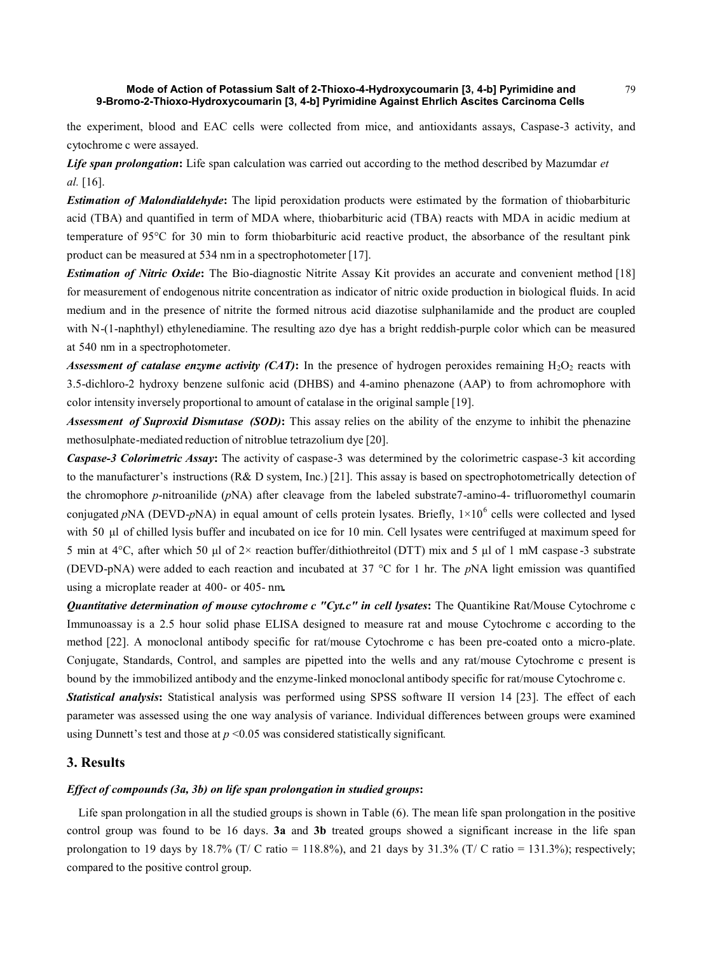the experiment, blood and EAC cells were collected from mice, and antioxidants assays, Caspase-3 activity, and cytochrome c were assayed.

*Life span prolongation***:** Life span calculation was carried out according to the method described by Mazumdar *et al.* [16].

*Estimation of Malondialdehyde***:** The lipid peroxidation products were estimated by the formation of thiobarbituric acid (TBA) and quantified in term of MDA where, thiobarbituric acid (TBA) reacts with MDA in acidic medium at temperature of 95°C for 30 min to form thiobarbituric acid reactive product, the absorbance of the resultant pink product can be measured at 534 nm in a spectrophotometer [17].

*Estimation of Nitric Oxide***:** The Bio-diagnostic Nitrite Assay Kit provides an accurate and convenient method [18] for measurement of endogenous nitrite concentration as indicator of nitric oxide production in biological fluids. In acid medium and in the presence of nitrite the formed nitrous acid diazotise sulphanilamide and the product are coupled with N-(1-naphthyl) ethylenediamine. The resulting azo dye has a bright reddish-purple color which can be measured at 540 nm in a spectrophotometer.

*Assessment of catalase enzyme activity*  $(CAT)$ *:* In the presence of hydrogen peroxides remaining  $H_2O_2$  reacts with 3.5-dichloro-2 hydroxy benzene sulfonic acid (DHBS) and 4-amino phenazone (AAP) to from achromophore with color intensity inversely proportional to amount of catalase in the original sample [19].

*Assessment of Suproxid Dismutase (SOD)***:** This assay relies on the ability of the enzyme to inhibit the phenazine methosulphate-mediated reduction of nitroblue tetrazolium dye [20].

*Caspase-3 Colorimetric Assay***:** The activity of caspase-3 was determined by the colorimetric caspase-3 kit according to the manufacturer's instructions ( $R&D$  system, Inc.) [21]. This assay is based on spectrophotometrically detection of the chromophore *p*-nitroanilide (*p*NA) after cleavage from the labeled substrate7-amino-4- trifluoromethyl coumarin conjugated *pNA* (DEVD-*pNA*) in equal amount of cells protein lysates. Briefly,  $1\times10^6$  cells were collected and lysed with 50 μl of chilled lysis buffer and incubated on ice for 10 min. Cell lysates were centrifuged at maximum speed for 5 min at 4°C, after which 50 μl of 2× reaction buffer/dithiothreitol (DTT) mix and 5 μl of 1 mM caspase -3 substrate (DEVD-pNA) were added to each reaction and incubated at 37 °C for 1 hr. The *p*NA light emission was quantified using a microplate reader at 400- or 405- nm*.*

*Quantitative determination of mouse cytochrome c "Cyt.c" in cell lysates***:** The Quantikine Rat/Mouse Cytochrome c Immunoassay is a 2.5 hour solid phase ELISA designed to measure rat and mouse Cytochrome c according to the method [22]. A monoclonal antibody specific for rat/mouse Cytochrome c has been pre-coated onto a micro-plate. Conjugate, Standards, Control, and samples are pipetted into the wells and any rat/mouse Cytochrome c present is bound by the immobilized antibody and the enzyme-linked monoclonal antibody specific for rat/mouse Cytochrome c.

*Statistical analysis***:** Statistical analysis was performed using SPSS software II version 14 [23]. The effect of each parameter was assessed using the one way analysis of variance. Individual differences between groups were examined using Dunnett's test and those at  $p \le 0.05$  was considered statistically significant.

# **3. Results**

# *Effect of compounds (3a, 3b) on life span prolongation in studied groups***:**

Life span prolongation in all the studied groups is shown in Table (6). The mean life span prolongation in the positive control group was found to be 16 days. **3a** and **3b** treated groups showed a significant increase in the life span prolongation to 19 days by 18.7% (T/ C ratio = 118.8%), and 21 days by 31.3% (T/ C ratio = 131.3%); respectively; compared to the positive control group.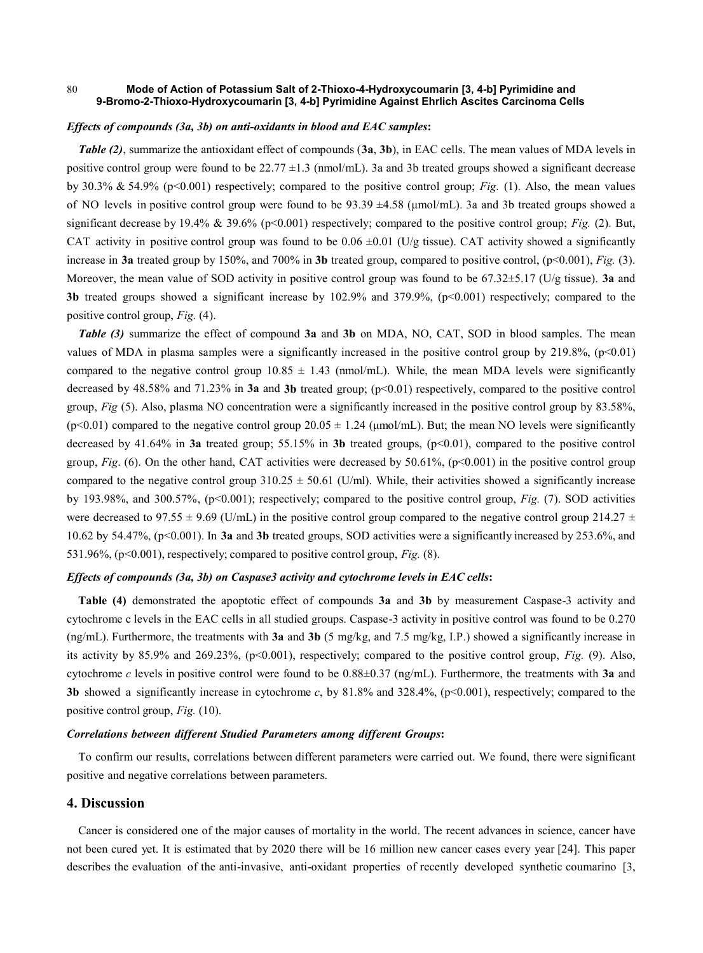### *Effects of compounds (3a, 3b) on anti-oxidants in blood and EAC samples***:**

*Table (2)*, summarize the antioxidant effect of compounds (**3a**, **3b**), in EAC cells. The mean values of MDA levels in positive control group were found to be  $22.77 \pm 1.3$  (nmol/mL). 3a and 3b treated groups showed a significant decrease by 30.3% & 54.9% (p<0.001) respectively; compared to the positive control group; *Fig.* (1). Also, the mean values of NO levels in positive control group were found to be  $93.39 \pm 4.58$  ( $\mu$ mol/mL). 3a and 3b treated groups showed a significant decrease by 19.4% & 39.6% (p<0.001) respectively; compared to the positive control group; *Fig.* (2). But, CAT activity in positive control group was found to be  $0.06 \pm 0.01$  (U/g tissue). CAT activity showed a significantly increase in **3a** treated group by 150%, and 700% in **3b** treated group, compared to positive control, (p<0.001), *Fig.* (3). Moreover, the mean value of SOD activity in positive control group was found to be 67.32±5.17 (U/g tissue). **3a** and **3b** treated groups showed a significant increase by 102.9% and 379.9%, (p<0.001) respectively; compared to the positive control group, *Fig.* (4).

*Table (3)* summarize the effect of compound **3a** and **3b** on MDA, NO, CAT, SOD in blood samples. The mean values of MDA in plasma samples were a significantly increased in the positive control group by  $219.8\%$ , (p<0.01) compared to the negative control group  $10.85 \pm 1.43$  (nmol/mL). While, the mean MDA levels were significantly decreased by 48.58% and 71.23% in **3a** and **3b** treated group; (p<0.01) respectively, compared to the positive control group, *Fig* (5). Also, plasma NO concentration were a significantly increased in the positive control group by 83.58%,  $(p<0.01)$  compared to the negative control group 20.05  $\pm$  1.24 (µmol/mL). But; the mean NO levels were significantly decreased by 41.64% in **3a** treated group; 55.15% in **3b** treated groups, (p<0.01), compared to the positive control group, *Fig.* (6). On the other hand, CAT activities were decreased by  $50.61\%$ , ( $p<0.001$ ) in the positive control group compared to the negative control group  $310.25 \pm 50.61$  (U/ml). While, their activities showed a significantly increase by 193.98%, and 300.57%, (p<0.001); respectively; compared to the positive control group, *Fig.* (7). SOD activities were decreased to 97.55  $\pm$  9.69 (U/mL) in the positive control group compared to the negative control group 214.27  $\pm$ 10.62 by 54.47%, (p<0.001). In **3a** and **3b** treated groups, SOD activities were a significantly increased by 253.6%, and 531.96%, (p<0.001), respectively; compared to positive control group, *Fig.* (8).

# *Effects of compounds (3a, 3b) on Caspase3 activity and cytochrome levels in EAC cells***:**

**Table (4)** demonstrated the apoptotic effect of compounds **3a** and **3b** by measurement Caspase-3 activity and cytochrome c levels in the EAC cells in all studied groups. Caspase-3 activity in positive control was found to be 0.270 (ng/mL). Furthermore, the treatments with **3a** and **3b** (5 mg/kg, and 7.5 mg/kg, I.P.) showed a significantly increase in its activity by 85.9% and 269.23%, (p<0.001), respectively; compared to the positive control group, *Fig.* (9). Also, cytochrome *c* levels in positive control were found to be 0.88±0.37 (ng/mL). Furthermore, the treatments with **3a** and **3b** showed a significantly increase in cytochrome *c*, by 81.8% and 328.4%, (p<0.001), respectively; compared to the positive control group, *Fig.* (10).

## *Correlations between different Studied Parameters among different Groups***:**

To confirm our results, correlations between different parameters were carried out. We found, there were significant positive and negative correlations between parameters.

# **4. Discussion**

Cancer is considered one of the major causes of mortality in the world. The recent advances in science, cancer have not been cured yet. It is estimated that by 2020 there will be 16 million new cancer cases every year [24]. This paper describes the evaluation of the anti-invasive, anti-oxidant properties of recently developed synthetic coumarino [3,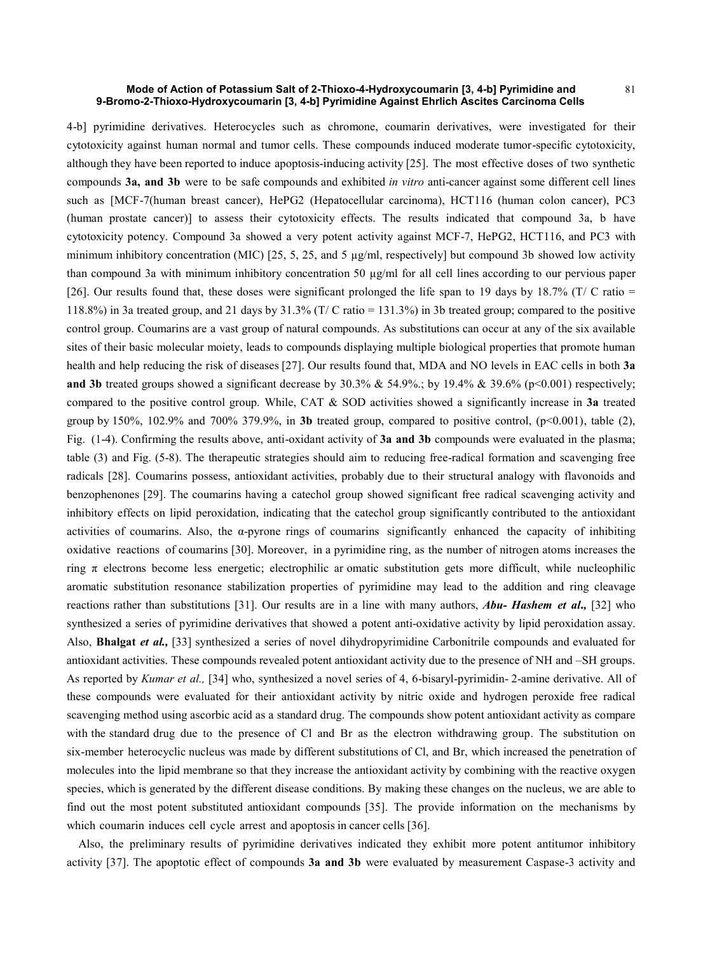4-b] pyrimidine derivatives. Heterocycles such as chromone, coumarin derivatives, were investigated for their cytotoxicity against human normal and tumor cells. These compounds induced moderate tumor-specific cytotoxicity, although they have been reported to induce apoptosis-inducing activity [25]. The most effective doses of two synthetic compounds **3a, and 3b** were to be safe compounds and exhibited *in vitro* anti-cancer against some different cell lines such as [MCF-7(human breast cancer), HePG2 (Hepatocellular carcinoma), HCT116 (human colon cancer), PC3 (human prostate cancer)] to assess their cytotoxicity effects. The results indicated that compound 3a, b have cytotoxicity potency. Compound 3a showed a very potent activity against MCF-7, HePG2, HCT116, and PC3 with minimum inhibitory concentration (MIC) [25, 5, 25, and 5  $\mu$ g/ml, respectively] but compound 3b showed low activity than compound 3a with minimum inhibitory concentration 50  $\mu$ g/ml for all cell lines according to our pervious paper [26]. Our results found that, these doses were significant prolonged the life span to 19 days by 18.7% (T/ C ratio  $=$ 118.8%) in 3a treated group, and 21 days by 31.3% (T/ C ratio = 131.3%) in 3b treated group; compared to the positive control group. Coumarins are a vast group of natural compounds. As substitutions can occur at any of the six available sites of their basic molecular moiety, leads to compounds displaying multiple biological properties that promote human health and help reducing the risk of diseases [27]. Our results found that, MDA and NO levels in EAC cells in both **3a and 3b** treated groups showed a significant decrease by  $30.3\%$  &  $54.9\%$ ; by  $19.4\%$  &  $39.6\%$  (p<0.001) respectively; compared to the positive control group. While, CAT & SOD activities showed a significantly increase in **3a** treated group by 150%, 102.9% and 700% 379.9%, in **3b** treated group, compared to positive control,  $(p<0.001)$ , table (2), Fig. (1-4). Confirming the results above, anti-oxidant activity of **3a and 3b** compounds were evaluated in the plasma; table (3) and Fig. (5-8). The therapeutic strategies should aim to reducing free-radical formation and scavenging free radicals [28]. Coumarins possess, antioxidant activities, probably due to their structural analogy with flavonoids and benzophenones [29]. The coumarins having a catechol group showed significant free radical scavenging activity and inhibitory effects on lipid peroxidation, indicating that the catechol group significantly contributed to the antioxidant activities of coumarins. Also, the  $\alpha$ -pyrone rings of coumarins significantly enhanced the capacity of inhibiting oxidative reactions of coumarins [30]. Moreover, in a pyrimidine ring, as the number of nitrogen atoms increases the ring π electrons become less energetic; electrophilic ar omatic substitution gets more difficult, while nucleophilic aromatic substitution resonance stabilization properties of pyrimidine may lead to the addition and ring cleavage reactions rather than substitutions [31]. Our results are in a line with many authors, *Abu- Hashem et al***.***,* [32] who synthesized a series of pyrimidine derivatives that showed a potent anti-oxidative activity by lipid peroxidation assay. Also, **Bhalgat** *et al.,* [33] synthesized a series of novel dihydropyrimidine Carbonitrile compounds and evaluated for antioxidant activities. These compounds revealed potent antioxidant activity due to the presence of NH and –SH groups. As reported by *Kumar et al.,* [34] who, synthesized a novel series of 4, 6-bisaryl-pyrimidin- 2-amine derivative. All of these compounds were evaluated for their antioxidant activity by nitric oxide and hydrogen peroxide free radical scavenging method using ascorbic acid as a standard drug. The compounds show potent antioxidant activity as compare with the standard drug due to the presence of Cl and Br as the electron withdrawing group. The substitution on six-member heterocyclic nucleus was made by different substitutions of Cl, and Br, which increased the penetration of molecules into the lipid membrane so that they increase the antioxidant activity by combining with the reactive oxygen species, which is generated by the different disease conditions. By making these changes on the nucleus, we are able to find out the most potent substituted antioxidant compounds [35]. The provide information on the mechanisms by which coumarin induces cell cycle arrest and apoptosis in cancer cells [36].

Also, the preliminary results of pyrimidine derivatives indicated they exhibit more potent antitumor inhibitory activity [37]. The apoptotic effect of compounds **3a and 3b** were evaluated by measurement Caspase-3 activity and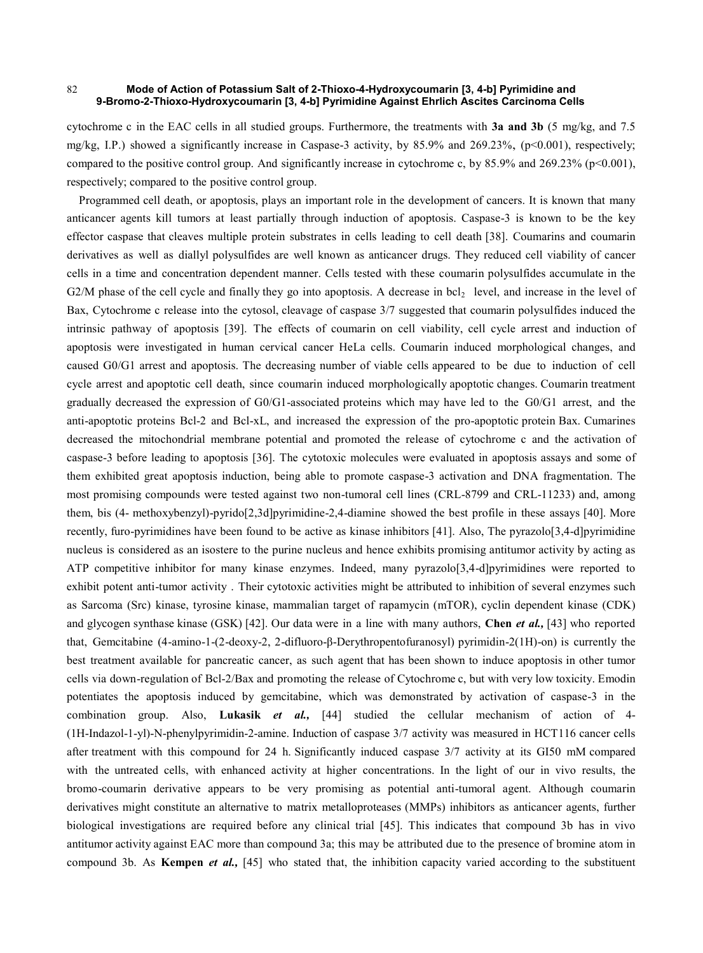cytochrome c in the EAC cells in all studied groups. Furthermore, the treatments with **3a and 3b** (5 mg/kg, and 7.5 mg/kg, I.P.) showed a significantly increase in Caspase-3 activity, by 85.9% and 269.23%, ( $p<0.001$ ), respectively; compared to the positive control group. And significantly increase in cytochrome c, by 85.9% and 269.23% ( $p<0.001$ ), respectively; compared to the positive control group.

Programmed cell death, or apoptosis, plays an important role in the development of cancers. It is known that many anticancer agents kill tumors at least partially through induction of apoptosis. Caspase-3 is known to be the key effector caspase that cleaves multiple protein substrates in cells leading to cell death [38]. Coumarins and coumarin derivatives as well as diallyl polysulfides are well known as anticancer drugs. They reduced cell viability of cancer cells in a time and concentration dependent manner. Cells tested with these coumarin polysulfides accumulate in the  $G2/M$  phase of the cell cycle and finally they go into apoptosis. A decrease in bcl<sub>2</sub> level, and increase in the level of Bax, Cytochrome c release into the cytosol, cleavage of caspase 3/7 suggested that coumarin polysulfides induced the intrinsic pathway of apoptosis [39]. The effects of coumarin on cell viability, cell cycle arrest and induction of apoptosis were investigated in human cervical cancer HeLa cells. Coumarin induced morphological changes, and caused G0/G1 arrest and apoptosis. The decreasing number of viable cells appeared to be due to induction of cell cycle arrest and apoptotic cell death, since coumarin induced morphologically apoptotic changes. Coumarin treatment gradually decreased the expression of G0/G1-associated proteins which may have led to the G0/G1 arrest, and the anti-apoptotic proteins Bcl-2 and Bcl-xL, and increased the expression of the pro-apoptotic protein Bax. Cumarines decreased the mitochondrial membrane potential and promoted the release of cytochrome c and the activation of caspase-3 before leading to apoptosis [36]. The cytotoxic molecules were evaluated in apoptosis assays and some of them exhibited great apoptosis induction, being able to promote caspase-3 activation and DNA fragmentation. The most promising compounds were tested against two non-tumoral cell lines (CRL-8799 and CRL-11233) and, among them, bis (4- methoxybenzyl)-pyrido[2,3d]pyrimidine-2,4-diamine showed the best profile in these assays [40]. More recently, furo-pyrimidines have been found to be active as kinase inhibitors [41]. Also, The pyrazolo[3,4-d]pyrimidine nucleus is considered as an isostere to the purine nucleus and hence exhibits promising antitumor activity by acting as ATP competitive inhibitor for many kinase enzymes. Indeed, many pyrazolo[3,4-d]pyrimidines were reported to exhibit potent anti-tumor activity . Their cytotoxic activities might be attributed to inhibition of several enzymes such as Sarcoma (Src) kinase, tyrosine kinase, mammalian target of rapamycin (mTOR), cyclin dependent kinase (CDK) and glycogen synthase kinase (GSK) [42]. Our data were in a line with many authors, **Chen** *et al.,* [43] who reported that, Gemcitabine (4-amino-1-(2-deoxy-2, 2-difluoro-β-Derythropentofuranosyl) pyrimidin-2(1H)-on) is currently the best treatment available for pancreatic cancer, as such agent that has been shown to induce apoptosis in other tumor cells via down-regulation of Bcl-2/Bax and promoting the release of Cytochrome c, but with very low toxicity. Emodin potentiates the apoptosis induced by gemcitabine, which was demonstrated by activation of caspase-3 in the combination group. Also, **Lukasik** *et al.,* [44] studied the cellular mechanism of action of 4- (1H-Indazol-1-yl)-N-phenylpyrimidin-2-amine. Induction of caspase 3/7 activity was measured in HCT116 cancer cells after treatment with this compound for 24 h. Significantly induced caspase 3/7 activity at its GI50 mM compared with the untreated cells, with enhanced activity at higher concentrations. In the light of our in vivo results, the bromo-coumarin derivative appears to be very promising as potential anti-tumoral agent. Although coumarin derivatives might constitute an alternative to matrix metalloproteases (MMPs) inhibitors as anticancer agents, further biological investigations are required before any clinical trial [45]. This indicates that compound 3b has in vivo antitumor activity against EAC more than compound 3a; this may be attributed due to the presence of bromine atom in compound 3b. As **Kempen** *et al.,* [45] who stated that, the inhibition capacity varied according to the substituent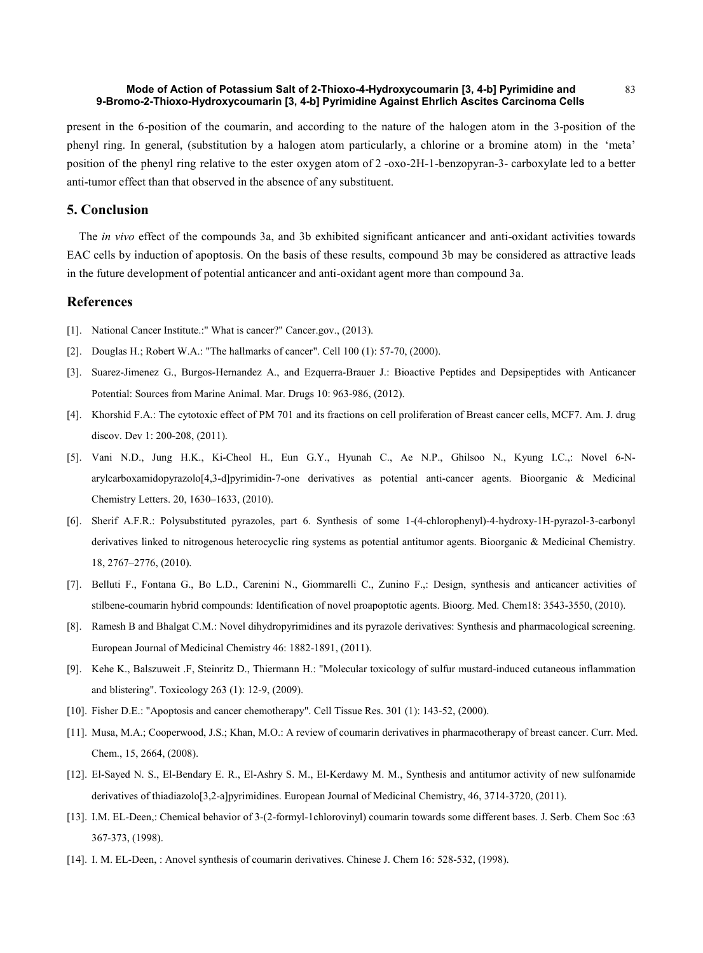present in the 6-position of the coumarin, and according to the nature of the halogen atom in the 3-position of the phenyl ring. In general, (substitution by a halogen atom particularly, a chlorine or a bromine atom) in the 'meta' position of the phenyl ring relative to the ester oxygen atom of 2 -oxo-2H-1-benzopyran-3- carboxylate led to a better anti-tumor effect than that observed in the absence of any substituent.

# **5. Conclusion**

The *in vivo* effect of the compounds 3a, and 3b exhibited significant anticancer and anti-oxidant activities towards EAC cells by induction of apoptosis. On the basis of these results, compound 3b may be considered as attractive leads in the future development of potential anticancer and anti-oxidant agent more than compound 3a.

# **References**

- [1]. National Cancer Institute.:" What is cancer?" Cancer.gov., (2013).
- [2]. Douglas H.; Robert W.A.: "The hallmarks of cancer". Cell 100 (1): 57-70, (2000).
- [3]. Suarez-Jimenez G., Burgos-Hernandez A., and Ezquerra-Brauer J.: Bioactive Peptides and Depsipeptides with Anticancer Potential: Sources from Marine Animal. Mar. Drugs 10: 963-986, (2012).
- [4]. Khorshid F.A.: The cytotoxic effect of PM 701 and its fractions on cell proliferation of Breast cancer cells, MCF7. Am. J. drug discov. Dev 1: 200-208, (2011).
- [5]. Vani N.D., Jung H.K., Ki-Cheol H., Eun G.Y., Hyunah C., Ae N.P., Ghilsoo N., Kyung I.C.,: Novel 6-Narylcarboxamidopyrazolo[4,3-d]pyrimidin-7-one derivatives as potential anti-cancer agents. Bioorganic & Medicinal Chemistry Letters. 20, 1630–1633, (2010).
- [6]. Sherif A.F.R.: Polysubstituted pyrazoles, part 6. Synthesis of some 1-(4-chlorophenyl)-4-hydroxy-1H-pyrazol-3-carbonyl derivatives linked to nitrogenous heterocyclic ring systems as potential antitumor agents. Bioorganic & Medicinal Chemistry. 18, 2767–2776, (2010).
- [7]. Belluti F., Fontana G., Bo L.D., Carenini N., Giommarelli C., Zunino F.,: Design, synthesis and anticancer activities of stilbene-coumarin hybrid compounds: Identification of novel proapoptotic agents. Bioorg. Med. Chem18: 3543-3550, (2010).
- [8]. Ramesh B and Bhalgat C.M.: Novel dihydropyrimidines and its pyrazole derivatives: Synthesis and pharmacological screening. European Journal of Medicinal Chemistry 46: 1882-1891, (2011).
- [9]. Kehe K., Balszuweit .F, Steinritz D., Thiermann H.: "Molecular toxicology of sulfur mustard-induced cutaneous inflammation and blistering". Toxicology 263 (1): 12-9, (2009).
- [10]. Fisher D.E.: "Apoptosis and cancer chemotherapy". Cell Tissue Res. 301 (1): 143-52, (2000).
- [11]. Musa, M.A.; Cooperwood, J.S.; Khan, M.O.: A review of coumarin derivatives in pharmacotherapy of breast cancer. Curr. Med. Chem., 15, 2664, (2008).
- [12]. El-Sayed N. S., El-Bendary E. R., El-Ashry S. M., El-Kerdawy M. M., Synthesis and antitumor activity of new sulfonamide derivatives of thiadiazolo[3,2-a]pyrimidines. European Journal of Medicinal Chemistry, 46, 3714-3720, (2011).
- [13]. I.M. EL-Deen,: Chemical behavior of 3-(2-formyl-1chlorovinyl) coumarin towards some different bases. J. Serb. Chem Soc :63 367-373, (1998).
- [14]. I. M. EL-Deen, : Anovel synthesis of coumarin derivatives. Chinese J. Chem 16: 528-532, (1998).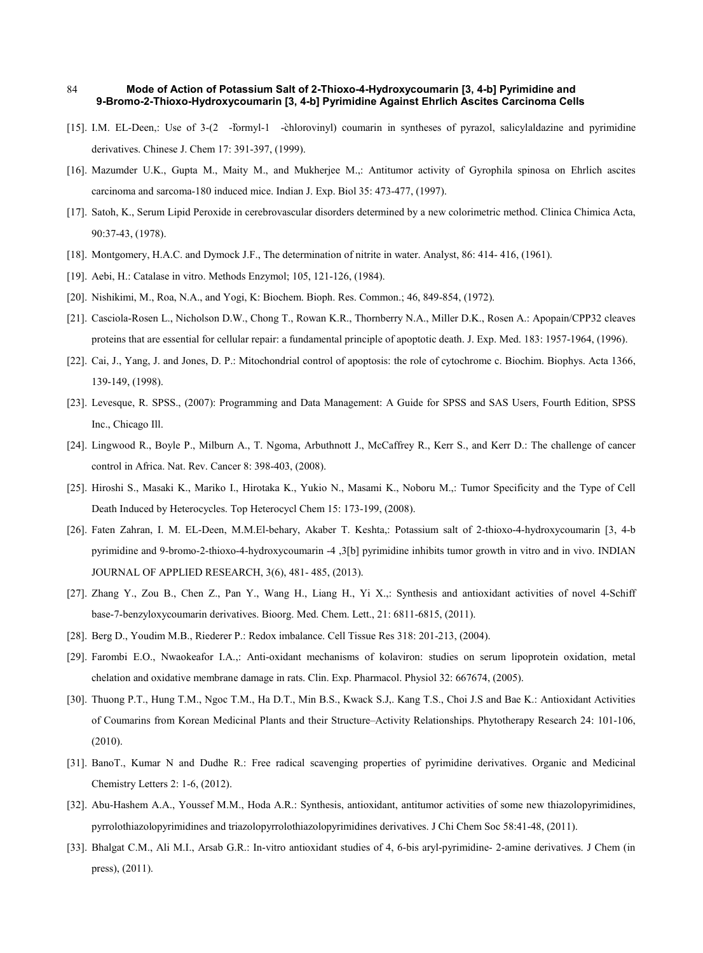- [15]. I.M. EL-Deen,: Use of 3-(2 -formyl-1 -chlorovinyl) coumarin in syntheses of pyrazol, salicylaldazine and pyrimidine derivatives. Chinese J. Chem 17: 391-397, (1999).
- [16]. Mazumder U.K., Gupta M., Maity M., and Mukherjee M.,: Antitumor activity of Gyrophila spinosa on Ehrlich ascites carcinoma and sarcoma-180 induced mice. Indian J. Exp. Biol 35: 473-477, (1997).
- [17]. Satoh, K., Serum Lipid Peroxide in cerebrovascular disorders determined by a new colorimetric method. Clinica Chimica Acta, 90:37-43, (1978).
- [18]. Montgomery, H.A.C. and Dymock J.F., The determination of nitrite in water. Analyst, 86: 414- 416, (1961).
- [19]. Aebi, H.: Catalase in vitro. Methods Enzymol; 105, 121-126, (1984).
- [20]. Nishikimi, M., Roa, N.A., and Yogi, K: Biochem. Bioph. Res. Common.; 46, 849-854, (1972).
- [21]. Casciola-Rosen L., Nicholson D.W., Chong T., Rowan K.R., Thornberry N.A., Miller D.K., Rosen A.: Apopain/CPP32 cleaves proteins that are essential for cellular repair: a fundamental principle of apoptotic death. J. Exp. Med. 183: 1957-1964, (1996).
- [22]. Cai, J., Yang, J. and Jones, D. P.: Mitochondrial control of apoptosis: the role of cytochrome c. Biochim. Biophys. Acta 1366, 139-149, (1998).
- [23]. Levesque, R. SPSS., (2007): Programming and Data Management: A Guide for SPSS and SAS Users, Fourth Edition, SPSS Inc., Chicago Ill.
- [24]. Lingwood R., Boyle P., Milburn A., T. Ngoma, Arbuthnott J., McCaffrey R., Kerr S., and Kerr D.: The challenge of cancer control in Africa. Nat. Rev. Cancer 8: 398-403, (2008).
- [25]. Hiroshi S., Masaki K., Mariko I., Hirotaka K., Yukio N., Masami K., Noboru M.,: Tumor Specificity and the Type of Cell Death Induced by Heterocycles. Top Heterocycl Chem 15: 173-199, (2008).
- [26]. Faten Zahran, I. M. EL-Deen, M.M.El-behary, Akaber T. Keshta,: Potassium salt of 2-thioxo-4-hydroxycoumarin [3, 4-b pyrimidine and 9-bromo-2-thioxo-4-hydroxycoumarin -4 ,3[b] pyrimidine inhibits tumor growth in vitro and in vivo. INDIAN JOURNAL OF APPLIED RESEARCH, 3(6), 481- 485, (2013).
- [27]. Zhang Y., Zou B., Chen Z., Pan Y., Wang H., Liang H., Yi X.,: Synthesis and antioxidant activities of novel 4-Schiff base-7-benzyloxycoumarin derivatives. Bioorg. Med. Chem. Lett., 21: 6811-6815, (2011).
- [28]. Berg D., Youdim M.B., Riederer P.: Redox imbalance. Cell Tissue Res 318: 201-213, (2004).
- [29]. Farombi E.O., Nwaokeafor I.A.,: Anti-oxidant mechanisms of kolaviron: studies on serum lipoprotein oxidation, metal chelation and oxidative membrane damage in rats. Clin. Exp. Pharmacol. Physiol 32: 667674, (2005).
- [30]. Thuong P.T., Hung T.M., Ngoc T.M., Ha D.T., Min B.S., Kwack S.J,. Kang T.S., Choi J.S and Bae K.: Antioxidant Activities of Coumarins from Korean Medicinal Plants and their Structure–Activity Relationships. Phytotherapy Research 24: 101-106, (2010).
- [31]. BanoT., Kumar N and Dudhe R.: Free radical scavenging properties of pyrimidine derivatives. Organic and Medicinal Chemistry Letters 2: 1-6, (2012).
- [32]. Abu-Hashem A.A., Youssef M.M., Hoda A.R.: Synthesis, antioxidant, antitumor activities of some new thiazolopyrimidines, pyrrolothiazolopyrimidines and triazolopyrrolothiazolopyrimidines derivatives. J Chi Chem Soc 58:41-48, (2011).
- [33]. Bhalgat C.M., Ali M.I., Arsab G.R.: In-vitro antioxidant studies of 4, 6-bis aryl-pyrimidine- 2-amine derivatives. J Chem (in press), (2011).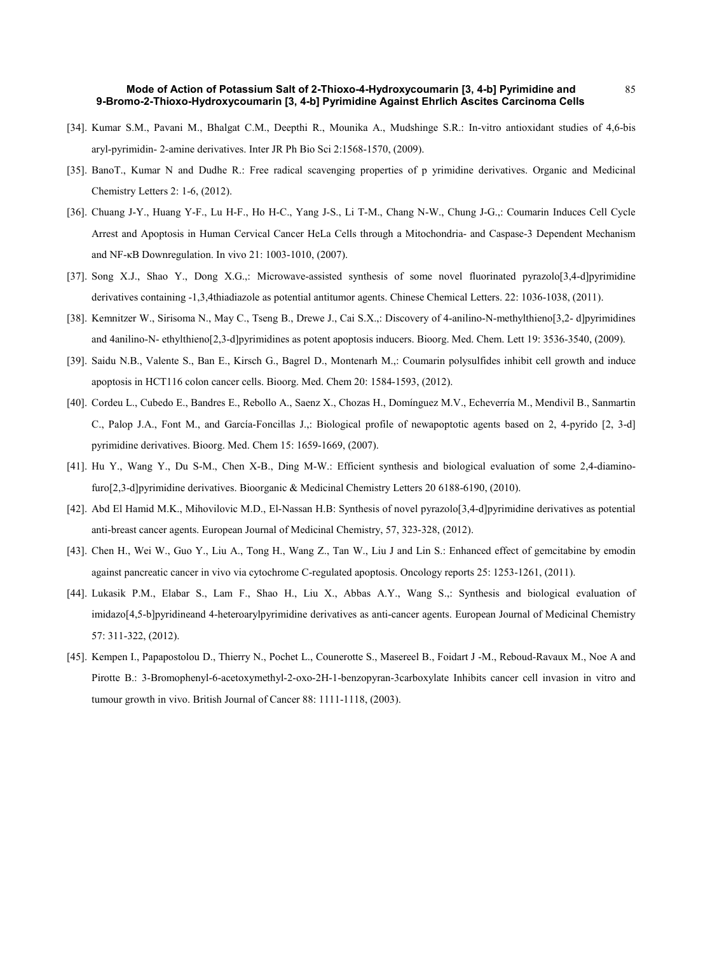- [34]. Kumar S.M., Pavani M., Bhalgat C.M., Deepthi R., Mounika A., Mudshinge S.R.: In-vitro antioxidant studies of 4,6-bis aryl-pyrimidin- 2-amine derivatives. Inter JR Ph Bio Sci 2:1568-1570, (2009).
- [35]. BanoT., Kumar N and Dudhe R.: Free radical scavenging properties of p yrimidine derivatives. Organic and Medicinal Chemistry Letters 2: 1-6, (2012).
- [36]. Chuang J-Y., Huang Y-F., Lu H-F., Ho H-C., Yang J-S., Li T-M., Chang N-W., Chung J-G.,: Coumarin Induces Cell Cycle Arrest and Apoptosis in Human Cervical Cancer HeLa Cells through a Mitochondria- and Caspase-3 Dependent Mechanism and NF-κB Downregulation. In vivo 21: 1003-1010, (2007).
- [37]. Song X.J., Shao Y., Dong X.G.,: Microwave-assisted synthesis of some novel fluorinated pyrazolo[3,4-d]pyrimidine derivatives containing -1,3,4thiadiazole as potential antitumor agents. Chinese Chemical Letters. 22: 1036-1038, (2011).
- [38]. Kemnitzer W., Sirisoma N., May C., Tseng B., Drewe J., Cai S.X.,: Discovery of 4-anilino-N-methylthieno[3,2- d]pyrimidines and 4anilino-N- ethylthieno[2,3-d]pyrimidines as potent apoptosis inducers. Bioorg. Med. Chem. Lett 19: 3536-3540, (2009).
- [39]. Saidu N.B., Valente S., Ban E., Kirsch G., Bagrel D., Montenarh M.,: Coumarin polysulfides inhibit cell growth and induce apoptosis in HCT116 colon cancer cells. Bioorg. Med. Chem 20: 1584-1593, (2012).
- [40]. Cordeu L., Cubedo E., Bandres E., Rebollo A., Saenz X., Chozas H., Domínguez M.V., Echeverría M., Mendivil B., Sanmartin C., Palop J.A., Font M., and García-Foncillas J.,: Biological profile of newapoptotic agents based on 2, 4-pyrido [2, 3-d] pyrimidine derivatives. Bioorg. Med. Chem 15: 1659-1669, (2007).
- [41]. Hu Y., Wang Y., Du S-M., Chen X-B., Ding M-W.: Efficient synthesis and biological evaluation of some 2,4-diaminofuro[2,3-d]pyrimidine derivatives. Bioorganic & Medicinal Chemistry Letters 20 6188-6190, (2010).
- [42]. Abd El Hamid M.K., Mihovilovic M.D., El-Nassan H.B: Synthesis of novel pyrazolo[3,4-d]pyrimidine derivatives as potential anti-breast cancer agents. European Journal of Medicinal Chemistry, 57, 323-328, (2012).
- [43]. Chen H., Wei W., Guo Y., Liu A., Tong H., Wang Z., Tan W., Liu J and Lin S.: Enhanced effect of gemcitabine by emodin against pancreatic cancer in vivo via cytochrome C-regulated apoptosis. Oncology reports 25: 1253-1261, (2011).
- [44]. Lukasik P.M., Elabar S., Lam F., Shao H., Liu X., Abbas A.Y., Wang S.,: Synthesis and biological evaluation of imidazo[4,5-b]pyridineand 4-heteroarylpyrimidine derivatives as anti-cancer agents. European Journal of Medicinal Chemistry 57: 311-322, (2012).
- [45]. Kempen I., Papapostolou D., Thierry N., Pochet L., Counerotte S., Masereel B., Foidart J -M., Reboud-Ravaux M., Noe A and Pirotte B.: 3-Bromophenyl-6-acetoxymethyl-2-oxo-2H-1-benzopyran-3carboxylate Inhibits cancer cell invasion in vitro and tumour growth in vivo. British Journal of Cancer 88: 1111-1118, (2003).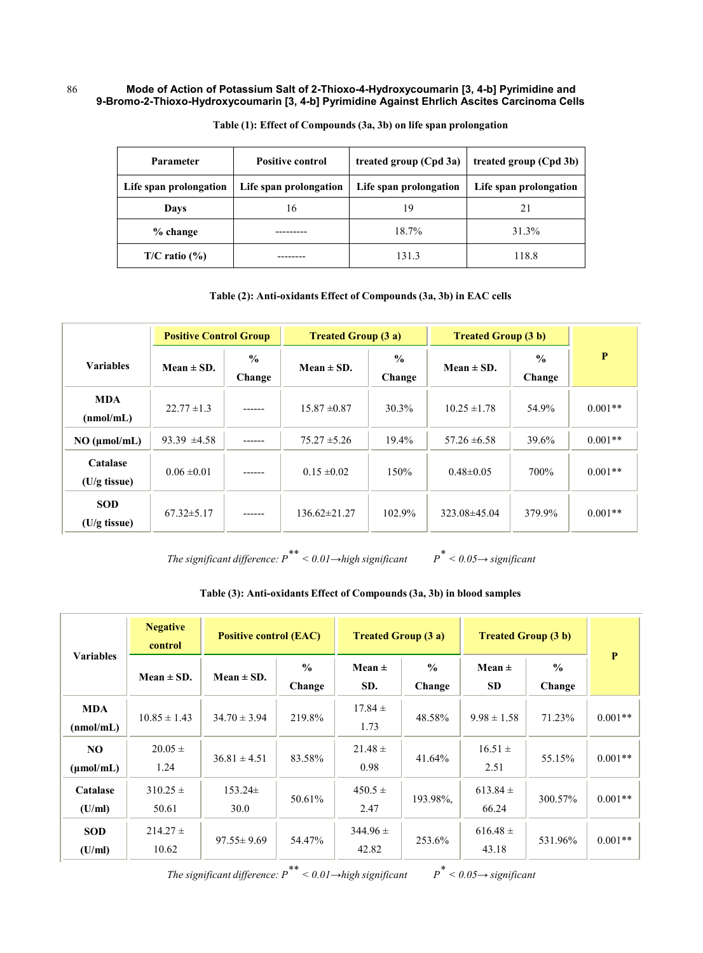| Parameter              | <b>Positive control</b> | treated group (Cpd 3a) | treated group (Cpd 3b) |  |
|------------------------|-------------------------|------------------------|------------------------|--|
| Life span prolongation | Life span prolongation  | Life span prolongation | Life span prolongation |  |
| Days                   | 16                      | 19                     |                        |  |
| $%$ change             |                         | 18.7%                  | 31.3%                  |  |
| $T/C$ ratio $(\% )$    |                         | 131.3                  | 118.8                  |  |

**Table (1): Effect of Compounds (3a, 3b) on life span prolongation**

# **Table (2): Anti-oxidants Effect of Compounds (3a, 3b) in EAC cells**

|                              |                  | <b>Positive Control Group</b><br><b>Treated Group (3 a)</b> |                    |                         | <b>Treated Group (3 b)</b> |                         |           |
|------------------------------|------------------|-------------------------------------------------------------|--------------------|-------------------------|----------------------------|-------------------------|-----------|
| <b>Variables</b>             | Mean $\pm$ SD.   | $\frac{0}{0}$<br>Change                                     | Mean $\pm$ SD.     | $\frac{0}{0}$<br>Change | Mean $\pm$ SD.             | $\frac{0}{0}$<br>Change | P         |
| <b>MDA</b><br>(nmol/mL)      | $22.77 \pm 1.3$  | ------                                                      | $15.87 \pm 0.87$   | 30.3%                   | $10.25 \pm 1.78$           | 54.9%                   | $0.001**$ |
| $NO$ ( $µmol/ml$ )           | $93.39 \pm 4.58$ | ------                                                      | $75.27 \pm 5.26$   | $19.4\%$                | $57.26 \pm 6.58$           | 39.6%                   | $0.001**$ |
| Catalase<br>$(U/g$ tissue)   | $0.06 \pm 0.01$  | ------                                                      | $0.15 \pm 0.02$    | 150%                    | $0.48 \pm 0.05$            | 700%                    | $0.001**$ |
| <b>SOD</b><br>$(U/g$ tissue) | $67.32 \pm 5.17$ | ------                                                      | $136.62 \pm 21.27$ | 102.9%                  | 323.08±45.04               | 379.9%                  | $0.001**$ |

*The* significant difference:  $P^{**} < 0.01 \rightarrow$  high significant  $P^{*} < 0.05 \rightarrow$  significant

| <b>Variables</b>             | <b>Negative</b><br>control | <b>Positive control (EAC)</b> |                         | <b>Treated Group (3 a)</b> |                         | <b>Treated Group (3 b)</b> |                         |           |
|------------------------------|----------------------------|-------------------------------|-------------------------|----------------------------|-------------------------|----------------------------|-------------------------|-----------|
|                              | Mean $\pm$ SD.             | Mean $\pm$ SD.                | $\frac{6}{6}$<br>Change | Mean $\pm$<br>SD.          | $\frac{0}{0}$<br>Change | Mean $\pm$<br><b>SD</b>    | $\frac{0}{0}$<br>Change | P         |
| <b>MDA</b><br>(nmol/mL)      | $10.85 \pm 1.43$           | $34.70 \pm 3.94$              | 219.8%                  | $17.84 \pm$<br>1.73        | 48.58%                  | $9.98 \pm 1.58$            | 71.23%                  | $0.001**$ |
| NO.<br>$(\mu \text{mol/mL})$ | $20.05 \pm$<br>1.24        | $36.81 \pm 4.51$              | 83.58%                  | $21.48 \pm$<br>0.98        | $41.64\%$               | $16.51 \pm$<br>2.51        | 55.15%                  | $0.001**$ |
| Catalase<br>(U/ml)           | $310.25 \pm$<br>50.61      | $153.24 \pm$<br>30.0          | 50.61%                  | $450.5 \pm$<br>2.47        | 193.98%.                | $613.84 \pm$<br>66.24      | 300.57%                 | $0.001**$ |
| <b>SOD</b><br>(U/ml)         | $214.27 \pm$<br>10.62      | $97.55 \pm 9.69$              | 54.47%                  | $344.96 \pm$<br>42.82      | 253.6%                  | $616.48 \pm$<br>43.18      | 531.96%                 | $0.001**$ |

**Table (3): Anti-oxidants Effect of Compounds (3a, 3b) in blood samples**

*The* significant difference:  $P^{**} < 0.01 \rightarrow$  *high* significant  $P^{*} < 0.05 \rightarrow$  significant

86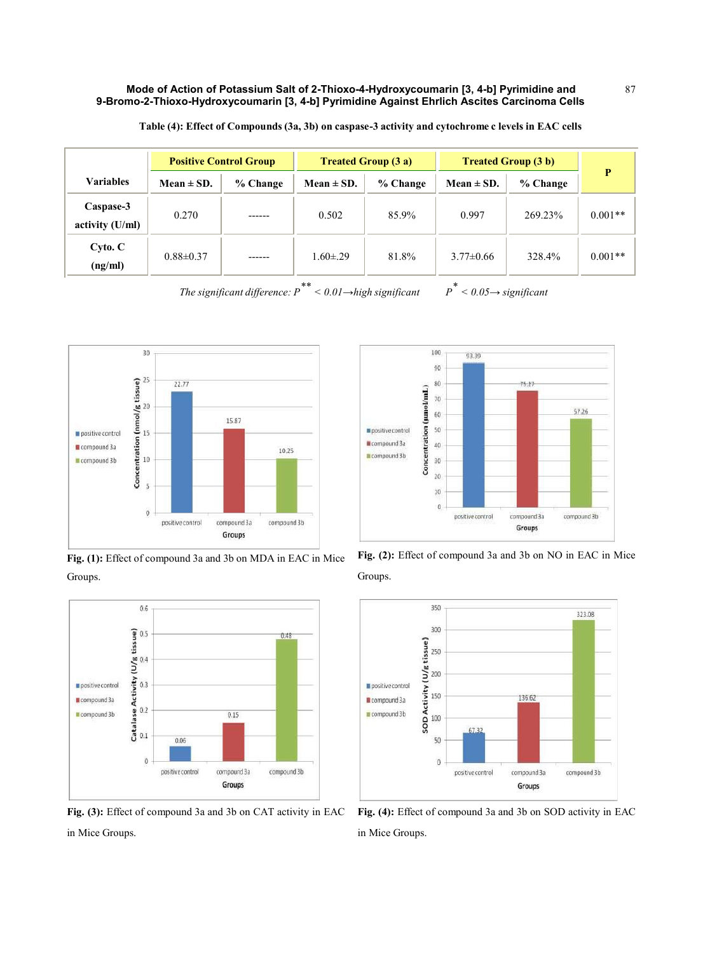**Table (4): Effect of Compounds (3a, 3b) on caspase-3 activity and cytochrome c levels in EAC cells**

|                                | <b>Positive Control Group</b> |          | <b>Treated Group (3 a)</b> |          | <b>Treated Group (3 b)</b> |            | D         |
|--------------------------------|-------------------------------|----------|----------------------------|----------|----------------------------|------------|-----------|
| <b>Variables</b>               | Mean $\pm$ SD.                | % Change | Mean $\pm$ SD.             | % Change | $Mean \pm SD.$             | $%$ Change |           |
| Caspase-3<br>activity $(U/ml)$ | 0.270                         | ------   | 0.502                      | 85.9%    | 0.997                      | 269.23%    | $0.001**$ |
| $C$ yto. $C$<br>(ng/ml)        | $0.88 \pm 0.37$               | ------   | $1.60 \pm 29$              | 81.8%    | $3.77\pm0.66$              | 328.4%     | $0.001**$ |

*The* significant difference:  $P^{**} < 0.01 \rightarrow$ high significant  $P^{*} < 0.05 \rightarrow$  significant



**Fig. (1):** Effect of compound 3a and 3b on MDA in EAC in Mice Groups.



**Fig. (3):** Effect of compound 3a and 3b on CAT activity in EAC in Mice Groups.

100 93.39 90 80  $75.27$ Concentration (unol/mL)  $70\,$ 57.26 60  $50$ positive control compound 3a  $40$ compound 3b  $30$  $\overline{20}$ 10  $\mathfrak o$ positive control compound 3a compound 3b Groups

**Fig. (2):** Effect of compound 3a and 3b on NO in EAC in Mice Groups.



**Fig. (4):** Effect of compound 3a and 3b on SOD activity in EAC in Mice Groups.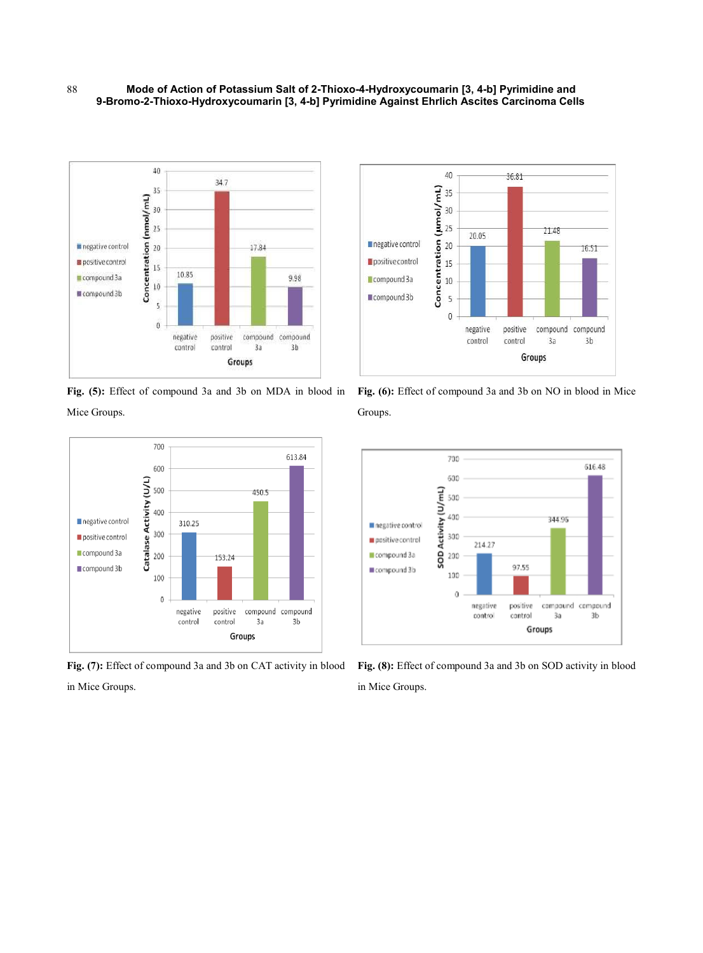

**Fig. (5):** Effect of compound 3a and 3b on MDA in blood in Mice Groups.



**Fig. (7):** Effect of compound 3a and 3b on CAT activity in blood in Mice Groups.



**Fig. (6):** Effect of compound 3a and 3b on NO in blood in Mice Groups.



**Fig. (8):** Effect of compound 3a and 3b on SOD activity in blood in Mice Groups.